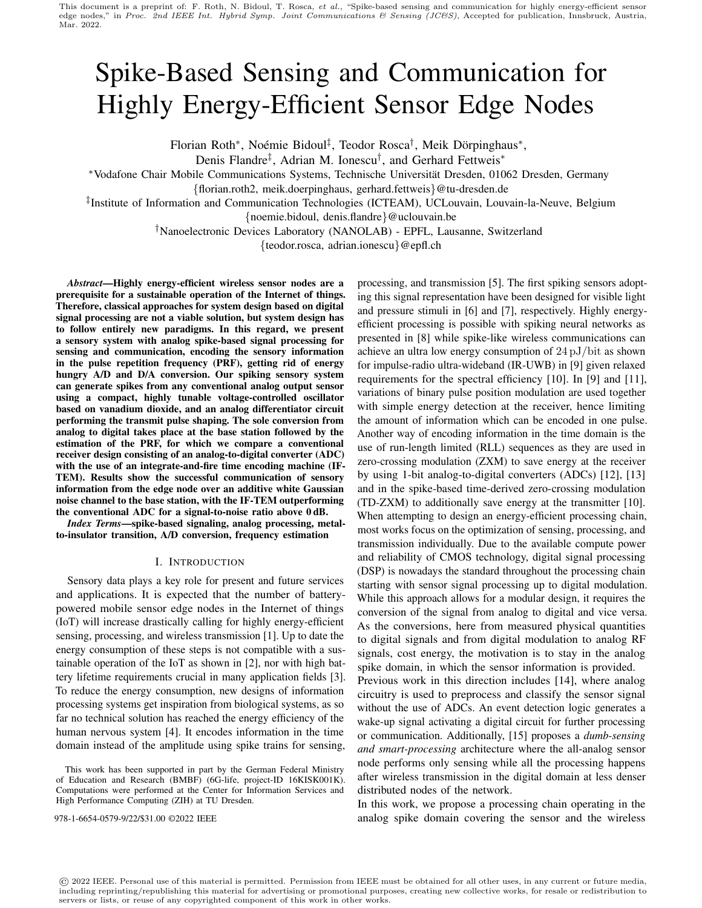# Spike-Based Sensing and Communication for Highly Energy-Efficient Sensor Edge Nodes

Florian Roth\*, Noémie Bidoul<sup>‡</sup>, Teodor Rosca<sup>†</sup>, Meik Dörpinghaus\*,

Denis Flandre<sup>‡</sup>, Adrian M. Ionescu<sup>†</sup>, and Gerhard Fettweis<sup>∗</sup>

∗Vodafone Chair Mobile Communications Systems, Technische Universitat Dresden, 01062 Dresden, Germany ¨

{florian.roth2, meik.doerpinghaus, gerhard.fettweis}@tu-dresden.de

‡ Institute of Information and Communication Technologies (ICTEAM), UCLouvain, Louvain-la-Neuve, Belgium

{noemie.bidoul, denis.flandre}@uclouvain.be

†Nanoelectronic Devices Laboratory (NANOLAB) - EPFL, Lausanne, Switzerland

{teodor.rosca, adrian.ionescu}@epfl.ch

*Abstract*—Highly energy-efficient wireless sensor nodes are a prerequisite for a sustainable operation of the Internet of things. Therefore, classical approaches for system design based on digital signal processing are not a viable solution, but system design has to follow entirely new paradigms. In this regard, we present a sensory system with analog spike-based signal processing for sensing and communication, encoding the sensory information in the pulse repetition frequency (PRF), getting rid of energy hungry A/D and D/A conversion. Our spiking sensory system can generate spikes from any conventional analog output sensor using a compact, highly tunable voltage-controlled oscillator based on vanadium dioxide, and an analog differentiator circuit performing the transmit pulse shaping. The sole conversion from analog to digital takes place at the base station followed by the estimation of the PRF, for which we compare a conventional receiver design consisting of an analog-to-digital converter (ADC) with the use of an integrate-and-fire time encoding machine (IF-TEM). Results show the successful communication of sensory information from the edge node over an additive white Gaussian noise channel to the base station, with the IF-TEM outperforming the conventional ADC for a signal-to-noise ratio above 0 dB.

*Index Terms*—spike-based signaling, analog processing, metalto-insulator transition, A/D conversion, frequency estimation

### I. INTRODUCTION

Sensory data plays a key role for present and future services and applications. It is expected that the number of batterypowered mobile sensor edge nodes in the Internet of things (IoT) will increase drastically calling for highly energy-efficient sensing, processing, and wireless transmission [1]. Up to date the energy consumption of these steps is not compatible with a sustainable operation of the IoT as shown in [2], nor with high battery lifetime requirements crucial in many application fields [3]. To reduce the energy consumption, new designs of information processing systems get inspiration from biological systems, as so far no technical solution has reached the energy efficiency of the human nervous system [4]. It encodes information in the time domain instead of the amplitude using spike trains for sensing,

processing, and transmission [5]. The first spiking sensors adopting this signal representation have been designed for visible light and pressure stimuli in [6] and [7], respectively. Highly energyefficient processing is possible with spiking neural networks as presented in [8] while spike-like wireless communications can achieve an ultra low energy consumption of 24 pJ/bit as shown for impulse-radio ultra-wideband (IR-UWB) in [9] given relaxed requirements for the spectral efficiency [10]. In [9] and [11], variations of binary pulse position modulation are used together with simple energy detection at the receiver, hence limiting the amount of information which can be encoded in one pulse. Another way of encoding information in the time domain is the use of run-length limited (RLL) sequences as they are used in zero-crossing modulation (ZXM) to save energy at the receiver by using 1-bit analog-to-digital converters (ADCs) [12], [13] and in the spike-based time-derived zero-crossing modulation (TD-ZXM) to additionally save energy at the transmitter [10]. When attempting to design an energy-efficient processing chain, most works focus on the optimization of sensing, processing, and transmission individually. Due to the available compute power and reliability of CMOS technology, digital signal processing (DSP) is nowadays the standard throughout the processing chain starting with sensor signal processing up to digital modulation. While this approach allows for a modular design, it requires the conversion of the signal from analog to digital and vice versa. As the conversions, here from measured physical quantities to digital signals and from digital modulation to analog RF signals, cost energy, the motivation is to stay in the analog spike domain, in which the sensor information is provided.

Previous work in this direction includes [14], where analog circuitry is used to preprocess and classify the sensor signal without the use of ADCs. An event detection logic generates a wake-up signal activating a digital circuit for further processing or communication. Additionally, [15] proposes a *dumb-sensing and smart-processing* architecture where the all-analog sensor node performs only sensing while all the processing happens after wireless transmission in the digital domain at less denser distributed nodes of the network.

In this work, we propose a processing chain operating in the 978-1-6654-0579-9/22/\$31.00 ©2022 IEEE analog spike domain covering the sensor and the wireless

© 2022 IEEE. Personal use of this material is permitted. Permission from IEEE must be obtained for all other uses, in any current or future media, including reprinting/republishing this material for advertising or promotional purposes, creating new collective works, for resale or redistribution to servers or lists, or reuse of any copyrighted component of this work in other works.

This work has been supported in part by the German Federal Ministry of Education and Research (BMBF) (6G-life, project-ID 16KISK001K). Computations were performed at the Center for Information Services and High Performance Computing (ZIH) at TU Dresden.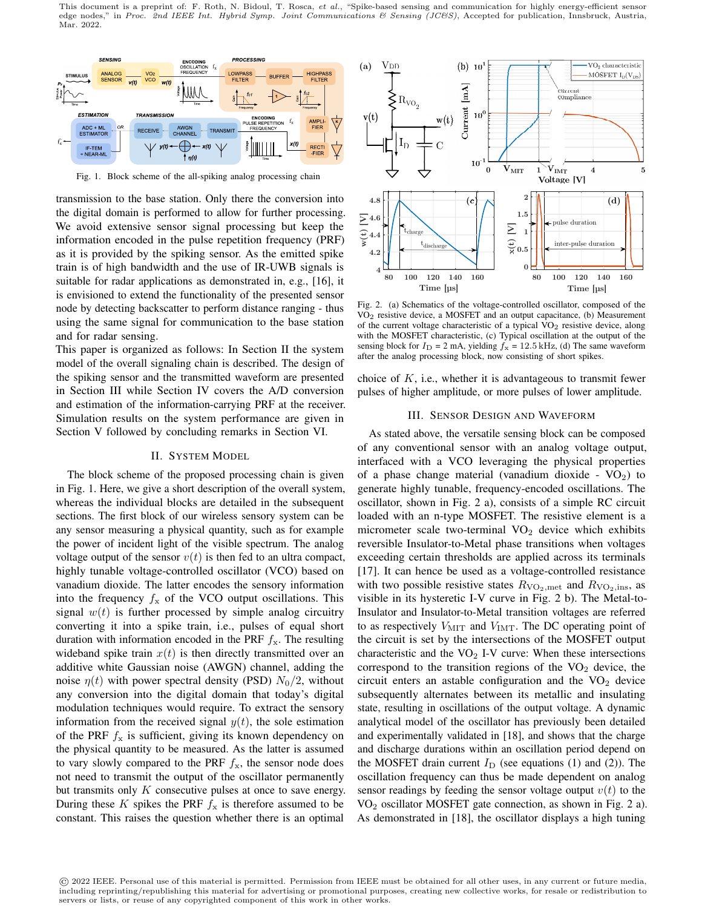This document is a preprint of: F. Roth, N. Bidoul, T. Rosca, et al., "Spike-based sensing and communication for highly energy-efficient sensor edge nodes," in Proc. 2nd IEEE Int. Hybrid Symp. Joint Communications & Sensing (JC&S), Accepted for publication, Innsbruck, Austria, Mar. 2022.



Fig. 1. Block scheme of the all-spiking analog processing chain

transmission to the base station. Only there the conversion into the digital domain is performed to allow for further processing. We avoid extensive sensor signal processing but keep the information encoded in the pulse repetition frequency (PRF) as it is provided by the spiking sensor. As the emitted spike train is of high bandwidth and the use of IR-UWB signals is suitable for radar applications as demonstrated in, e.g., [16], it is envisioned to extend the functionality of the presented sensor node by detecting backscatter to perform distance ranging - thus using the same signal for communication to the base station and for radar sensing.

This paper is organized as follows: In Section II the system model of the overall signaling chain is described. The design of the spiking sensor and the transmitted waveform are presented in Section III while Section IV covers the A/D conversion and estimation of the information-carrying PRF at the receiver. Simulation results on the system performance are given in Section V followed by concluding remarks in Section VI.

## II. SYSTEM MODEL

The block scheme of the proposed processing chain is given in Fig. 1. Here, we give a short description of the overall system, whereas the individual blocks are detailed in the subsequent sections. The first block of our wireless sensory system can be any sensor measuring a physical quantity, such as for example the power of incident light of the visible spectrum. The analog voltage output of the sensor  $v(t)$  is then fed to an ultra compact, highly tunable voltage-controlled oscillator (VCO) based on vanadium dioxide. The latter encodes the sensory information into the frequency  $f_x$  of the VCO output oscillations. This signal  $w(t)$  is further processed by simple analog circuitry converting it into a spike train, i.e., pulses of equal short duration with information encoded in the PRF  $f<sub>x</sub>$ . The resulting wideband spike train  $x(t)$  is then directly transmitted over an additive white Gaussian noise (AWGN) channel, adding the noise  $\eta(t)$  with power spectral density (PSD)  $N_0/2$ , without any conversion into the digital domain that today's digital modulation techniques would require. To extract the sensory information from the received signal  $y(t)$ , the sole estimation of the PRF  $f_x$  is sufficient, giving its known dependency on the physical quantity to be measured. As the latter is assumed to vary slowly compared to the PRF  $f_x$ , the sensor node does not need to transmit the output of the oscillator permanently but transmits only  $K$  consecutive pulses at once to save energy. During these K spikes the PRF  $f_x$  is therefore assumed to be constant. This raises the question whether there is an optimal



Fig. 2. (a) Schematics of the voltage-controlled oscillator, composed of the  $VO<sub>2</sub>$  resistive device, a MOSFET and an output capacitance, (b) Measurement of the current voltage characteristic of a typical  $VO<sub>2</sub>$  resistive device, along with the MOSFET characteristic, (c) Typical oscillation at the output of the sensing block for  $I_D = 2$  mA, yielding  $f_x = 12.5$  kHz, (d) The same waveform after the analog processing block, now consisting of short spikes.

choice of  $K$ , i.e., whether it is advantageous to transmit fewer pulses of higher amplitude, or more pulses of lower amplitude.

## III. SENSOR DESIGN AND WAVEFORM

As stated above, the versatile sensing block can be composed of any conventional sensor with an analog voltage output, interfaced with a VCO leveraging the physical properties of a phase change material (vanadium dioxide -  $VO<sub>2</sub>$ ) to generate highly tunable, frequency-encoded oscillations. The oscillator, shown in Fig. 2 a), consists of a simple RC circuit loaded with an n-type MOSFET. The resistive element is a micrometer scale two-terminal  $VO<sub>2</sub>$  device which exhibits reversible Insulator-to-Metal phase transitions when voltages exceeding certain thresholds are applied across its terminals [17]. It can hence be used as a voltage-controlled resistance with two possible resistive states  $R_{\rm VO_2,met}$  and  $R_{\rm VO_2,ins}$ , as visible in its hysteretic I-V curve in Fig. 2 b). The Metal-to-Insulator and Insulator-to-Metal transition voltages are referred to as respectively  $V_{\text{MIT}}$  and  $V_{\text{IMT}}$ . The DC operating point of the circuit is set by the intersections of the MOSFET output characteristic and the  $VO<sub>2</sub>$  I-V curve: When these intersections correspond to the transition regions of the  $VO<sub>2</sub>$  device, the circuit enters an astable configuration and the  $VO<sub>2</sub>$  device subsequently alternates between its metallic and insulating state, resulting in oscillations of the output voltage. A dynamic analytical model of the oscillator has previously been detailed and experimentally validated in [18], and shows that the charge and discharge durations within an oscillation period depend on the MOSFET drain current  $I_D$  (see equations (1) and (2)). The oscillation frequency can thus be made dependent on analog sensor readings by feeding the sensor voltage output  $v(t)$  to the  $VO<sub>2</sub>$  oscillator MOSFET gate connection, as shown in Fig. 2 a). As demonstrated in [18], the oscillator displays a high tuning

<sup>©</sup> 2022 IEEE. Personal use of this material is permitted. Permission from IEEE must be obtained for all other uses, in any current or future media, including reprinting/republishing this material for advertising or promotional purposes, creating new collective works, for resale or redistribution to servers or lists, or reuse of any copyrighted component of this work in other works.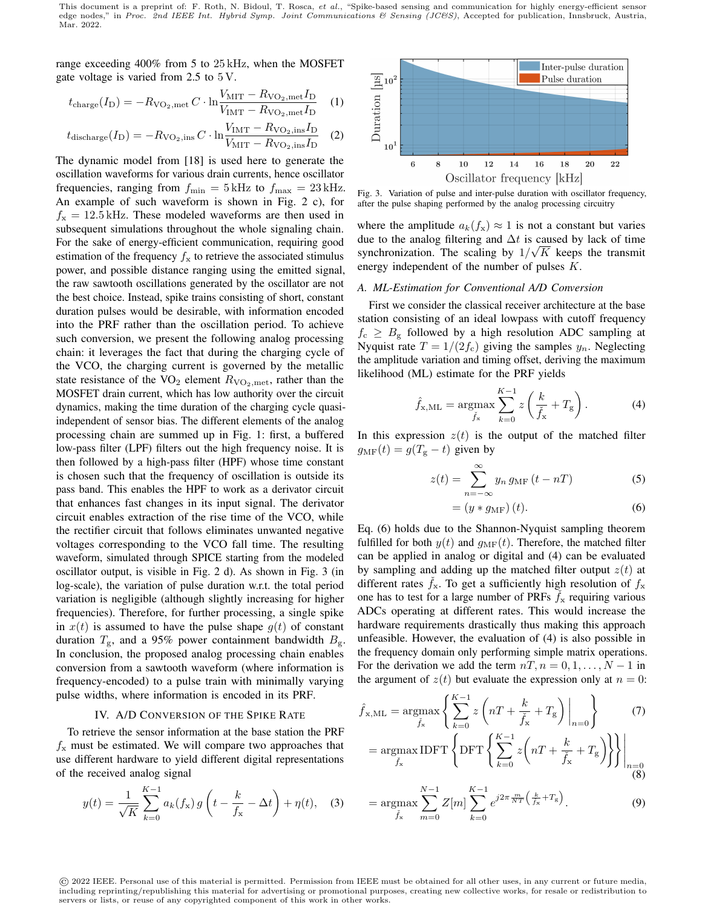range exceeding 400% from 5 to 25 kHz, when the MOSFET gate voltage is varied from 2.5 to 5 V.

$$
t_{\text{charge}}(I_{\text{D}}) = -R_{\text{VO}_2, \text{met}}C \cdot \ln \frac{V_{\text{MIT}} - R_{\text{VO}_2, \text{met}}I_{\text{D}}}{V_{\text{IMT}} - R_{\text{VO}_2, \text{met}}I_{\text{D}}}
$$
 (1)

$$
t_{\text{discharge}}(I_{\text{D}}) = -R_{\text{VO}_2,\text{ins}}C \cdot \ln \frac{V_{\text{IMT}} - R_{\text{VO}_2,\text{ins}}I_{\text{D}}}{V_{\text{MIT}} - R_{\text{VO}_2,\text{ins}}I_{\text{D}}}
$$
 (2)

The dynamic model from [18] is used here to generate the oscillation waveforms for various drain currents, hence oscillator frequencies, ranging from  $f_{\min} = 5$  kHz to  $f_{\max} = 23$  kHz. An example of such waveform is shown in Fig. 2 c), for  $f_{\rm x} = 12.5$  kHz. These modeled waveforms are then used in subsequent simulations throughout the whole signaling chain. For the sake of energy-efficient communication, requiring good estimation of the frequency  $f_x$  to retrieve the associated stimulus power, and possible distance ranging using the emitted signal, the raw sawtooth oscillations generated by the oscillator are not the best choice. Instead, spike trains consisting of short, constant duration pulses would be desirable, with information encoded into the PRF rather than the oscillation period. To achieve such conversion, we present the following analog processing chain: it leverages the fact that during the charging cycle of the VCO, the charging current is governed by the metallic state resistance of the  $VO_2$  element  $R_{VO_2,met}$ , rather than the MOSFET drain current, which has low authority over the circuit dynamics, making the time duration of the charging cycle quasiindependent of sensor bias. The different elements of the analog processing chain are summed up in Fig. 1: first, a buffered low-pass filter (LPF) filters out the high frequency noise. It is then followed by a high-pass filter (HPF) whose time constant is chosen such that the frequency of oscillation is outside its pass band. This enables the HPF to work as a derivator circuit that enhances fast changes in its input signal. The derivator circuit enables extraction of the rise time of the VCO, while the rectifier circuit that follows eliminates unwanted negative voltages corresponding to the VCO fall time. The resulting waveform, simulated through SPICE starting from the modeled oscillator output, is visible in Fig. 2 d). As shown in Fig. 3 (in log-scale), the variation of pulse duration w.r.t. the total period variation is negligible (although slightly increasing for higher frequencies). Therefore, for further processing, a single spike in  $x(t)$  is assumed to have the pulse shape  $g(t)$  of constant duration  $T_{\rm g}$ , and a 95% power containment bandwidth  $B_{\rm g}$ . In conclusion, the proposed analog processing chain enables conversion from a sawtooth waveform (where information is frequency-encoded) to a pulse train with minimally varying pulse widths, where information is encoded in its PRF.

### IV. A/D CONVERSION OF THE SPIKE RATE

To retrieve the sensor information at the base station the PRF  $f_x$  must be estimated. We will compare two approaches that use different hardware to yield different digital representations of the received analog signal

$$
y(t) = \frac{1}{\sqrt{K}} \sum_{k=0}^{K-1} a_k(f_x) g\left(t - \frac{k}{f_x} - \Delta t\right) + \eta(t), \quad (3)
$$



Fig. 3. Variation of pulse and inter-pulse duration with oscillator frequency, after the pulse shaping performed by the analog processing circuitry

where the amplitude  $a_k(f_x) \approx 1$  is not a constant but varies due to the analog filtering and  $\Delta t$  is caused by lack of time synchronization. The scaling by  $1/\sqrt{K}$  keeps the transmit energy independent of the number of pulses K.

## *A. ML-Estimation for Conventional A/D Conversion*

First we consider the classical receiver architecture at the base station consisting of an ideal lowpass with cutoff frequency  $f_c \geq B_g$  followed by a high resolution ADC sampling at Nyquist rate  $T = 1/(2f_c)$  giving the samples  $y_n$ . Neglecting the amplitude variation and timing offset, deriving the maximum likelihood (ML) estimate for the PRF yields

$$
\hat{f}_{x,\mathrm{ML}} = \underset{\tilde{f}_x}{\text{argmax}} \sum_{k=0}^{K-1} z \left( \frac{k}{\tilde{f}_x} + T_g \right). \tag{4}
$$

In this expression  $z(t)$  is the output of the matched filter  $g_{\text{MF}}(t) = g(T_{\text{g}} - t)$  given by

$$
z(t) = \sum_{n = -\infty}^{\infty} y_n g_{\text{MF}}(t - nT)
$$
 (5)

$$
= (y * g_{\text{MF}}) (t). \tag{6}
$$

Eq. (6) holds due to the Shannon-Nyquist sampling theorem fulfilled for both  $y(t)$  and  $g<sub>MF</sub>(t)$ . Therefore, the matched filter can be applied in analog or digital and (4) can be evaluated by sampling and adding up the matched filter output  $z(t)$  at different rates  $f_x$ . To get a sufficiently high resolution of  $f_x$ one has to test for a large number of PRFs  $f_x$  requiring various ADCs operating at different rates. This would increase the hardware requirements drastically thus making this approach unfeasible. However, the evaluation of (4) is also possible in the frequency domain only performing simple matrix operations. For the derivation we add the term  $nT, n = 0, 1, \ldots, N - 1$  in the argument of  $z(t)$  but evaluate the expression only at  $n = 0$ :

$$
\hat{f}_{x, \text{ML}} = \underset{\tilde{f}_x}{\text{argmax}} \left\{ \sum_{k=0}^{K-1} z \left( nT + \frac{k}{\tilde{f}_x} + T_g \right) \Big|_{n=0} \right\} \tag{7}
$$
\n
$$
= \underset{\tilde{f}_x}{\text{argmax}} \text{IDFT} \left\{ \text{DFT} \left\{ \sum_{k=0}^{K-1} z \left( nT + \frac{k}{\tilde{f}_x} + T_g \right) \right\} \right\} \Big|_{n=0 \atop \text{(8)}}
$$

$$
= \underset{\tilde{f}_{x}}{\operatorname{argmax}} \sum_{m=0}^{N-1} Z[m] \sum_{k=0}^{K-1} e^{j2\pi \frac{m}{NT} \left(\frac{k}{\tilde{f}_{x}} + T_{g}\right)}.
$$
 (9)

© 2022 IEEE. Personal use of this material is permitted. Permission from IEEE must be obtained for all other uses, in any current or future media, including reprinting/republishing this material for advertising or promotional purposes, creating new collective works, for resale or redistribution to servers or lists, or reuse of any copyrighted component of this work in other works.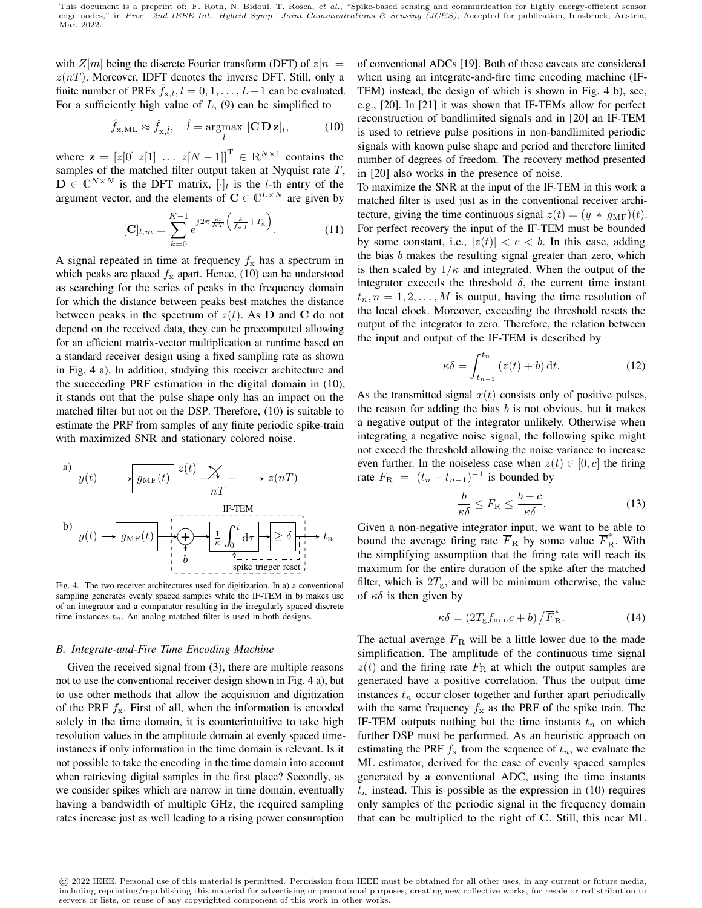with  $Z[m]$  being the discrete Fourier transform (DFT) of  $z[n]$  =  $z(nT)$ . Moreover, IDFT denotes the inverse DFT. Still, only a finite number of PRFs  $f_{x,l}$ ,  $l = 0, 1, \ldots, L-1$  can be evaluated. For a sufficiently high value of  $L$ , (9) can be simplified to

$$
\hat{f}_{\mathbf{x},\mathrm{ML}} \approx \check{f}_{\mathbf{x},\hat{l}}, \quad \hat{l} = \underset{l}{\operatorname{argmax}} [\mathbf{C} \, \mathbf{D} \, \mathbf{z}]_l, \tag{10}
$$

where  $\mathbf{z} = [z[0] \ z[1] \dots z[N-1]]^{\mathrm{T}} \in \mathbb{R}^{N \times 1}$  contains the samples of the matched filter output taken at Nyquist rate  $T$ ,  $\mathbf{D} \in \mathbb{C}^{N \times N}$  is the DFT matrix,  $[\cdot]_l$  is the l-th entry of the argument vector, and the elements of  $C \in \mathbb{C}^{L \times N}$  are given by

$$
[\mathbf{C}]_{l,m} = \sum_{k=0}^{K-1} e^{j2\pi \frac{m}{NT} \left(\frac{k}{f_{\mathbf{x},l}} + T_{\mathbf{g}}\right)}.
$$
 (11)

A signal repeated in time at frequency  $f_x$  has a spectrum in which peaks are placed  $f_x$  apart. Hence, (10) can be understood as searching for the series of peaks in the frequency domain for which the distance between peaks best matches the distance between peaks in the spectrum of  $z(t)$ . As **D** and **C** do not depend on the received data, they can be precomputed allowing for an efficient matrix-vector multiplication at runtime based on a standard receiver design using a fixed sampling rate as shown in Fig. 4 a). In addition, studying this receiver architecture and the succeeding PRF estimation in the digital domain in (10), it stands out that the pulse shape only has an impact on the matched filter but not on the DSP. Therefore, (10) is suitable to estimate the PRF from samples of any finite periodic spike-train with maximized SNR and stationary colored noise.



Fig. 4. The two receiver architectures used for digitization. In a) a conventional sampling generates evenly spaced samples while the IF-TEM in b) makes use of an integrator and a comparator resulting in the irregularly spaced discrete time instances  $t_n$ . An analog matched filter is used in both designs.

# *B. Integrate-and-Fire Time Encoding Machine*

Given the received signal from (3), there are multiple reasons not to use the conventional receiver design shown in Fig. 4 a), but to use other methods that allow the acquisition and digitization of the PRF  $f_x$ . First of all, when the information is encoded solely in the time domain, it is counterintuitive to take high resolution values in the amplitude domain at evenly spaced timeinstances if only information in the time domain is relevant. Is it not possible to take the encoding in the time domain into account when retrieving digital samples in the first place? Secondly, as we consider spikes which are narrow in time domain, eventually having a bandwidth of multiple GHz, the required sampling rates increase just as well leading to a rising power consumption

of conventional ADCs [19]. Both of these caveats are considered when using an integrate-and-fire time encoding machine (IF-TEM) instead, the design of which is shown in Fig. 4 b), see, e.g., [20]. In [21] it was shown that IF-TEMs allow for perfect reconstruction of bandlimited signals and in [20] an IF-TEM is used to retrieve pulse positions in non-bandlimited periodic signals with known pulse shape and period and therefore limited number of degrees of freedom. The recovery method presented in [20] also works in the presence of noise.

To maximize the SNR at the input of the IF-TEM in this work a matched filter is used just as in the conventional receiver architecture, giving the time continuous signal  $z(t) = (y * g_{\text{MF}})(t)$ . For perfect recovery the input of the IF-TEM must be bounded by some constant, i.e.,  $|z(t)| < c < b$ . In this case, adding the bias b makes the resulting signal greater than zero, which is then scaled by  $1/\kappa$  and integrated. When the output of the integrator exceeds the threshold  $\delta$ , the current time instant  $t_n, n = 1, 2, \dots, M$  is output, having the time resolution of the local clock. Moreover, exceeding the threshold resets the output of the integrator to zero. Therefore, the relation between the input and output of the IF-TEM is described by

$$
\kappa \delta = \int_{t_{n-1}}^{t_n} (z(t) + b) dt.
$$
 (12)

As the transmitted signal  $x(t)$  consists only of positive pulses, the reason for adding the bias  $b$  is not obvious, but it makes a negative output of the integrator unlikely. Otherwise when integrating a negative noise signal, the following spike might not exceed the threshold allowing the noise variance to increase even further. In the noiseless case when  $z(t) \in [0, c]$  the firing rate  $F_{\text{R}} = (t_n - t_{n-1})^{-1}$  is bounded by

$$
\frac{b}{\kappa \delta} \le F_{\rm R} \le \frac{b+c}{\kappa \delta}.
$$

Given a non-negative integrator input, we want to be able to bound the average firing rate  $\overline{F}_{\text{R}}$  by some value  $\overline{F}_{\text{R}}^*$ . With the simplifying assumption that the firing rate will reach its maximum for the entire duration of the spike after the matched filter, which is  $2T_{\rm g}$ , and will be minimum otherwise, the value of  $\kappa \delta$  is then given by

$$
\kappa \delta = \left(2T_{\rm g} f_{\rm min} c + b\right) / \overline{F}_{\rm R}^*.
$$
 (14)

The actual average  $\overline{F}_R$  will be a little lower due to the made simplification. The amplitude of the continuous time signal  $z(t)$  and the firing rate  $F<sub>R</sub>$  at which the output samples are generated have a positive correlation. Thus the output time instances  $t_n$  occur closer together and further apart periodically with the same frequency  $f_x$  as the PRF of the spike train. The IF-TEM outputs nothing but the time instants  $t_n$  on which further DSP must be performed. As an heuristic approach on estimating the PRF  $f_x$  from the sequence of  $t_n$ , we evaluate the ML estimator, derived for the case of evenly spaced samples generated by a conventional ADC, using the time instants  $t_n$  instead. This is possible as the expression in (10) requires only samples of the periodic signal in the frequency domain that can be multiplied to the right of C. Still, this near ML

<sup>©</sup> 2022 IEEE. Personal use of this material is permitted. Permission from IEEE must be obtained for all other uses, in any current or future media, including reprinting/republishing this material for advertising or promotional purposes, creating new collective works, for resale or redistribution to servers or lists, or reuse of any copyrighted component of this work in other works.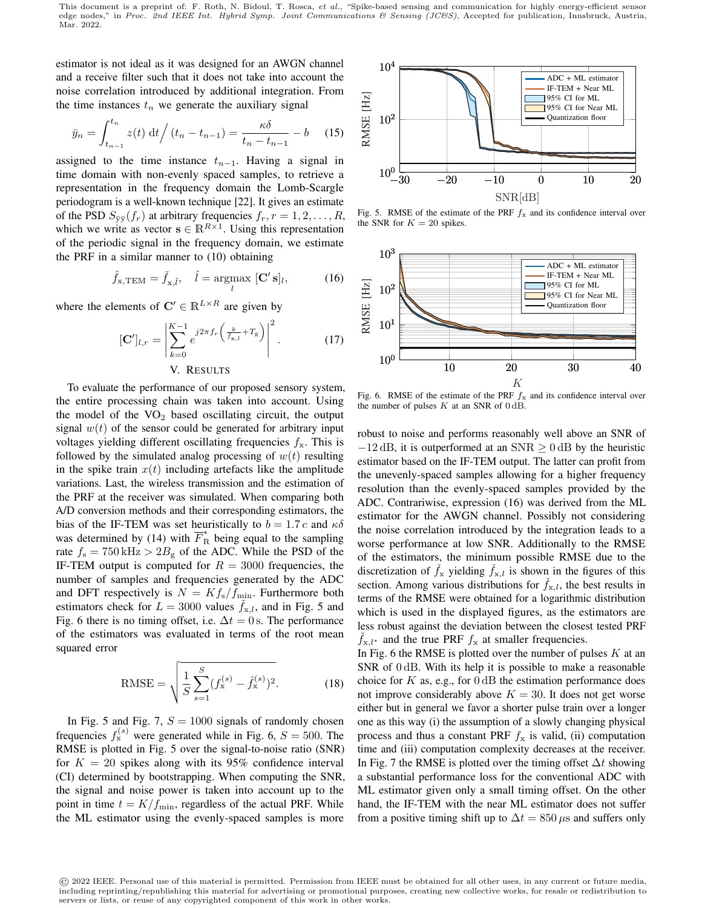This document is a preprint of: F. Roth, N. Bidoul, T. Rosca, et al., "Spike-based sensing and communication for highly energy-efficient sensor edge nodes," in Proc. 2nd IEEE Int. Hybrid Symp. Joint Communications & Sensing (JC&S), Accepted for publication, Innsbruck, Austria, Mar. 2022.

estimator is not ideal as it was designed for an AWGN channel and a receive filter such that it does not take into account the noise correlation introduced by additional integration. From the time instances  $t_n$  we generate the auxiliary signal

$$
\bar{y}_n = \int_{t_{n-1}}^{t_n} z(t) \, \mathrm{d}t \Big/ \left( t_n - t_{n-1} \right) = \frac{\kappa \delta}{t_n - t_{n-1}} - b \tag{15}
$$

assigned to the time instance  $t_{n-1}$ . Having a signal in time domain with non-evenly spaced samples, to retrieve a representation in the frequency domain the Lomb-Scargle periodogram is a well-known technique [22]. It gives an estimate of the PSD  $S_{\bar{v}\bar{v}}(f_r)$  at arbitrary frequencies  $f_r, r = 1, 2, \ldots, R$ , which we write as vector  $\mathbf{s} \in \mathbb{R}^{R \times 1}$ . Using this representation of the periodic signal in the frequency domain, we estimate the PRF in a similar manner to (10) obtaining

$$
\hat{f}_{\mathbf{x},\text{TEM}} = \check{f}_{\mathbf{x},\hat{l}}, \quad \hat{l} = \underset{l}{\text{argmax}} [\mathbf{C}'\,\mathbf{s}]_l,\tag{16}
$$

where the elements of  $\mathbf{C}' \in \mathbb{R}^{L \times R}$  are given by

$$
[\mathbf{C}']_{l,r} = \left| \sum_{k=0}^{K-1} e^{j2\pi f_r \left( \frac{k}{f_{\mathbf{x},l}} + T_{\mathbf{g}} \right)} \right|^2.
$$
 (17)

# V. RESULTS

To evaluate the performance of our proposed sensory system, the entire processing chain was taken into account. Using the model of the  $VO<sub>2</sub>$  based oscillating circuit, the output signal  $w(t)$  of the sensor could be generated for arbitrary input voltages yielding different oscillating frequencies  $f_x$ . This is followed by the simulated analog processing of  $w(t)$  resulting in the spike train  $x(t)$  including artefacts like the amplitude variations. Last, the wireless transmission and the estimation of the PRF at the receiver was simulated. When comparing both A/D conversion methods and their corresponding estimators, the bias of the IF-TEM was set heuristically to  $b = 1.7 c$  and  $\kappa \delta$ was determined by (14) with  $\overline{F}_{R}^{*}$  being equal to the sampling rate  $f_s = 750 \text{ kHz} > 2B_g$  of the ADC. While the PSD of the IF-TEM output is computed for  $R = 3000$  frequencies, the number of samples and frequencies generated by the ADC and DFT respectively is  $N = K f<sub>s</sub> / f<sub>min</sub>$ . Furthermore both estimators check for  $L = 3000$  values  $\dot{f}_{x,l}$ , and in Fig. 5 and Fig. 6 there is no timing offset, i.e.  $\Delta t = 0$  s. The performance of the estimators was evaluated in terms of the root mean squared error

RMSE = 
$$
\sqrt{\frac{1}{S} \sum_{s=1}^{S} (f_{\mathbf{x}}^{(s)} - \hat{f}_{\mathbf{x}}^{(s)})^2}.
$$
 (18)

In Fig. 5 and Fig. 7,  $S = 1000$  signals of randomly chosen frequencies  $f_{\rm x}^{(s)}$  were generated while in Fig. 6,  $S = 500$ . The RMSE is plotted in Fig. 5 over the signal-to-noise ratio (SNR) for  $K = 20$  spikes along with its 95% confidence interval (CI) determined by bootstrapping. When computing the SNR, the signal and noise power is taken into account up to the point in time  $t = K/f_{\text{min}}$ , regardless of the actual PRF. While the ML estimator using the evenly-spaced samples is more



Fig. 5. RMSE of the estimate of the PRF  $f_x$  and its confidence interval over the SNR for  $K = 20$  spikes.



Fig. 6. RMSE of the estimate of the PRF  $f_x$  and its confidence interval over the number of pulses  $K$  at an SNR of  $0 dB$ .

robust to noise and performs reasonably well above an SNR of  $-12$  dB, it is outperformed at an SNR  $\geq 0$  dB by the heuristic estimator based on the IF-TEM output. The latter can profit from the unevenly-spaced samples allowing for a higher frequency resolution than the evenly-spaced samples provided by the ADC. Contrariwise, expression (16) was derived from the ML estimator for the AWGN channel. Possibly not considering the noise correlation introduced by the integration leads to a worse performance at low SNR. Additionally to the RMSE of the estimators, the minimum possible RMSE due to the discretization of  $f_x$  yielding  $f_{x,l}$  is shown in the figures of this section. Among various distributions for  $\check{f}_{x,l}$ , the best results in terms of the RMSE were obtained for a logarithmic distribution which is used in the displayed figures, as the estimators are less robust against the deviation between the closest tested PRF  $f_{x,l^*}$  and the true PRF  $f_x$  at smaller frequencies.

In Fig. 6 the RMSE is plotted over the number of pulses  $K$  at an SNR of 0 dB. With its help it is possible to make a reasonable choice for  $K$  as, e.g., for  $0 \, dB$  the estimation performance does not improve considerably above  $K = 30$ . It does not get worse either but in general we favor a shorter pulse train over a longer one as this way (i) the assumption of a slowly changing physical process and thus a constant PRF  $f_x$  is valid, (ii) computation time and (iii) computation complexity decreases at the receiver. In Fig. 7 the RMSE is plotted over the timing offset  $\Delta t$  showing a substantial performance loss for the conventional ADC with ML estimator given only a small timing offset. On the other hand, the IF-TEM with the near ML estimator does not suffer from a positive timing shift up to  $\Delta t = 850 \,\mu s$  and suffers only

<sup>©</sup> 2022 IEEE. Personal use of this material is permitted. Permission from IEEE must be obtained for all other uses, in any current or future media, including reprinting/republishing this material for advertising or promotional purposes, creating new collective works, for resale or redistribution to servers or lists, or reuse of any copyrighted component of this work in other works.